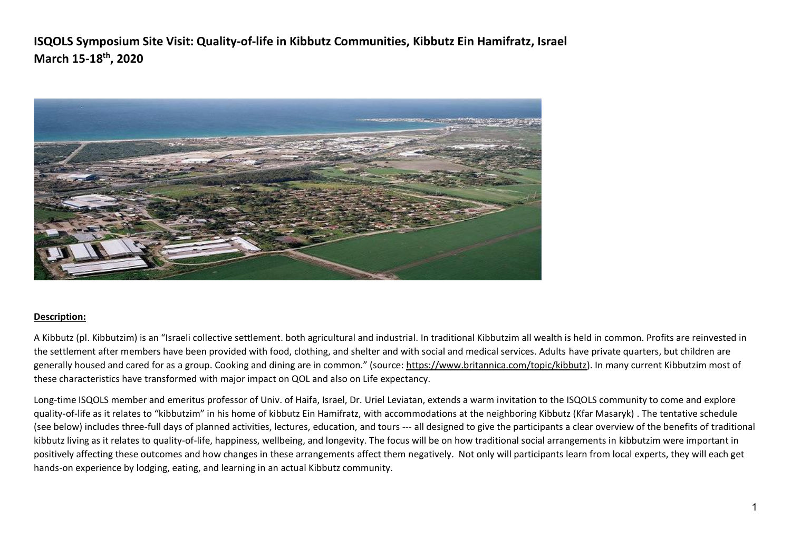

### **Description:**

A Kibbutz (pl. Kibbutzim) is an "Israeli collective settlement. both agricultural and industrial. In traditional Kibbutzim all wealth is held in common. Profits are reinvested in the settlement after members have been provided with food, clothing, and shelter and with social and medical services. Adults have private quarters, but children are generally housed and cared for as a group. Cooking and dining are in common." (source: [https://www.britannica.com/topic/kibbutz\)](https://www.britannica.com/topic/kibbutz). In many current Kibbutzim most of these characteristics have transformed with major impact on QOL and also on Life expectancy.

Long-time ISQOLS member and emeritus professor of Univ. of Haifa, Israel, Dr. Uriel Leviatan, extends a warm invitation to the ISQOLS community to come and explore quality-of-life as it relates to "kibbutzim" in his home of kibbutz Ein Hamifratz, with accommodations at the neighboring Kibbutz (Kfar Masaryk) . The tentative schedule (see below) includes three-full days of planned activities, lectures, education, and tours --- all designed to give the participants a clear overview of the benefits of traditional kibbutz living as it relates to quality-of-life, happiness, wellbeing, and longevity. The focus will be on how traditional social arrangements in kibbutzim were important in positively affecting these outcomes and how changes in these arrangements affect them negatively. Not only will participants learn from local experts, they will each get hands-on experience by lodging, eating, and learning in an actual Kibbutz community.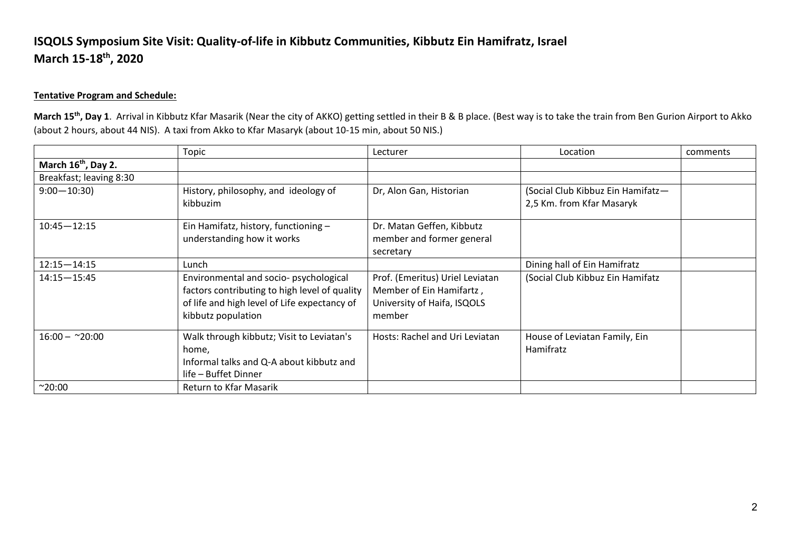### **Tentative Program and Schedule:**

**March 15th , Day 1**. Arrival in Kibbutz Kfar Masarik (Near the city of AKKO) getting settled in their B & B place. (Best way is to take the train from Ben Gurion Airport to Akko (about 2 hours, about 44 NIS). A taxi from Akko to Kfar Masaryk (about 10-15 min, about 50 NIS.)

|                                 | Topic                                         | Lecturer                        | Location                          | comments |
|---------------------------------|-----------------------------------------------|---------------------------------|-----------------------------------|----------|
| March 16 <sup>th</sup> , Day 2. |                                               |                                 |                                   |          |
| Breakfast; leaving 8:30         |                                               |                                 |                                   |          |
| $9:00 - 10:30$                  | History, philosophy, and ideology of          | Dr, Alon Gan, Historian         | (Social Club Kibbuz Ein Hamifatz- |          |
|                                 | kibbuzim                                      |                                 | 2,5 Km. from Kfar Masaryk         |          |
| $10:45 - 12:15$                 | Ein Hamifatz, history, functioning -          | Dr. Matan Geffen, Kibbutz       |                                   |          |
|                                 | understanding how it works                    | member and former general       |                                   |          |
|                                 |                                               | secretary                       |                                   |          |
| $12:15 - 14:15$                 | Lunch                                         |                                 | Dining hall of Ein Hamifratz      |          |
| $14:15 - 15:45$                 | Environmental and socio- psychological        | Prof. (Emeritus) Uriel Leviatan | (Social Club Kibbuz Ein Hamifatz  |          |
|                                 | factors contributing to high level of quality | Member of Ein Hamifartz,        |                                   |          |
|                                 | of life and high level of Life expectancy of  | University of Haifa, ISQOLS     |                                   |          |
|                                 | kibbutz population                            | member                          |                                   |          |
| $16:00 - 20:00$                 | Walk through kibbutz; Visit to Leviatan's     | Hosts: Rachel and Uri Leviatan  | House of Leviatan Family, Ein     |          |
|                                 | home,                                         |                                 | Hamifratz                         |          |
|                                 | Informal talks and Q-A about kibbutz and      |                                 |                                   |          |
|                                 | life - Buffet Dinner                          |                                 |                                   |          |
| $^{\sim}20:00$                  | Return to Kfar Masarik                        |                                 |                                   |          |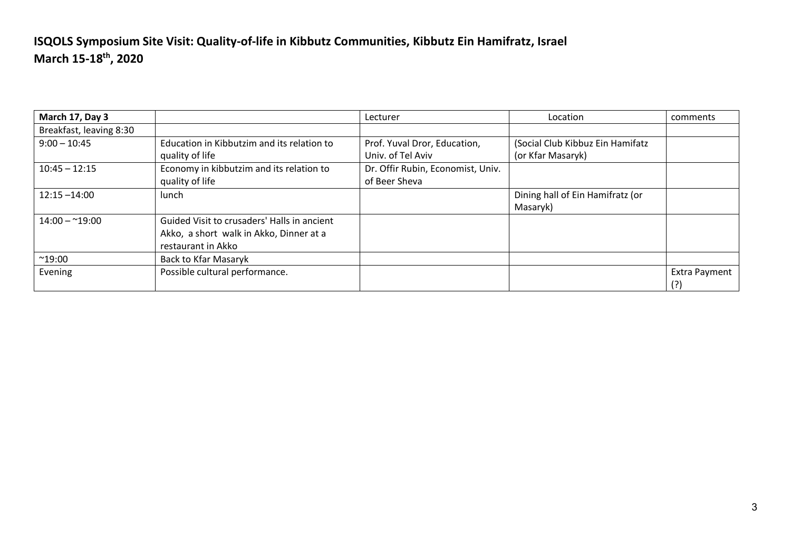| March 17, Day 3         |                                                                                                              | Lecturer                                           | Location                                              | comments                    |
|-------------------------|--------------------------------------------------------------------------------------------------------------|----------------------------------------------------|-------------------------------------------------------|-----------------------------|
| Breakfast, leaving 8:30 |                                                                                                              |                                                    |                                                       |                             |
| $9:00 - 10:45$          | Education in Kibbutzim and its relation to<br>quality of life                                                | Prof. Yuval Dror, Education,<br>Univ. of Tel Aviv  | (Social Club Kibbuz Ein Hamifatz<br>(or Kfar Masaryk) |                             |
| $10:45 - 12:15$         | Economy in kibbutzim and its relation to<br>quality of life                                                  | Dr. Offir Rubin, Economist, Univ.<br>of Beer Sheva |                                                       |                             |
| $12:15 - 14:00$         | lunch                                                                                                        |                                                    | Dining hall of Ein Hamifratz (or<br>Masaryk)          |                             |
| $14:00 - 19:00$         | Guided Visit to crusaders' Halls in ancient<br>Akko, a short walk in Akko, Dinner at a<br>restaurant in Akko |                                                    |                                                       |                             |
| $^{\sim}$ 19:00         | Back to Kfar Masaryk                                                                                         |                                                    |                                                       |                             |
| Evening                 | Possible cultural performance.                                                                               |                                                    |                                                       | <b>Extra Payment</b><br>(?) |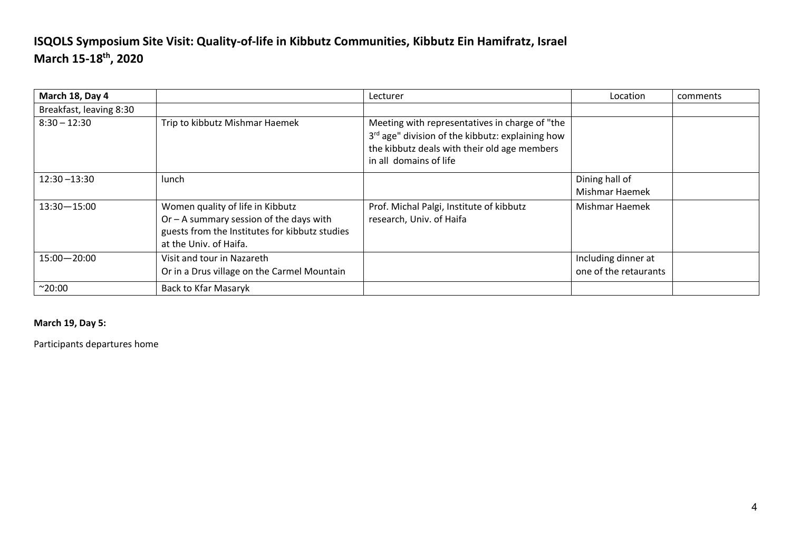| March 18, Day 4         |                                                                                                                                                           | Lecturer                                                                                                                                                                     | Location                                     | comments |
|-------------------------|-----------------------------------------------------------------------------------------------------------------------------------------------------------|------------------------------------------------------------------------------------------------------------------------------------------------------------------------------|----------------------------------------------|----------|
| Breakfast, leaving 8:30 |                                                                                                                                                           |                                                                                                                                                                              |                                              |          |
| $8:30 - 12:30$          | Trip to kibbutz Mishmar Haemek                                                                                                                            | Meeting with representatives in charge of "the<br>3rd age" division of the kibbutz: explaining how<br>the kibbutz deals with their old age members<br>in all domains of life |                                              |          |
| $12:30 - 13:30$         | lunch                                                                                                                                                     |                                                                                                                                                                              | Dining hall of<br>Mishmar Haemek             |          |
| $13:30 - 15:00$         | Women quality of life in Kibbutz<br>Or $-$ A summary session of the days with<br>guests from the Institutes for kibbutz studies<br>at the Univ. of Haifa. | Prof. Michal Palgi, Institute of kibbutz<br>research, Univ. of Haifa                                                                                                         | Mishmar Haemek                               |          |
| $15:00 - 20:00$         | Visit and tour in Nazareth<br>Or in a Drus village on the Carmel Mountain                                                                                 |                                                                                                                                                                              | Including dinner at<br>one of the retaurants |          |
| $^{\sim}20:00$          | <b>Back to Kfar Masaryk</b>                                                                                                                               |                                                                                                                                                                              |                                              |          |

**March 19, Day 5:**

Participants departures home